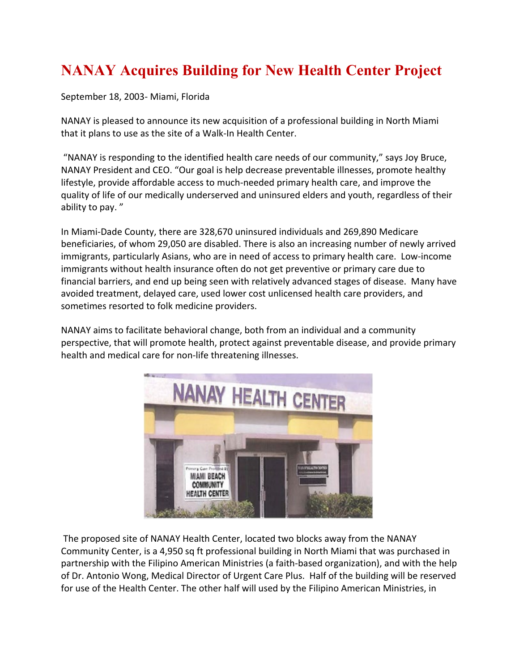## **NANAY Acquires Building for New Health Center Project**

September 18, 2003- Miami, Florida

NANAY is pleased to announce its new acquisition of a professional building in North Miami that it plans to use as the site of a Walk-In Health Center.

"NANAY is responding to the identified health care needs of our community," says Joy Bruce, NANAY President and CEO. "Our goal is help decrease preventable illnesses, promote healthy lifestyle, provide affordable access to much-needed primary health care, and improve the quality of life of our medically underserved and uninsured elders and youth, regardless of their ability to pay. "

In Miami-Dade County, there are 328,670 uninsured individuals and 269,890 Medicare beneficiaries, of whom 29,050 are disabled. There is also an increasing number of newly arrived immigrants, particularly Asians, who are in need of access to primary health care. Low-income immigrants without health insurance often do not get preventive or primary care due to financial barriers, and end up being seen with relatively advanced stages of disease. Many have avoided treatment, delayed care, used lower cost unlicensed health care providers, and sometimes resorted to folk medicine providers.

NANAY aims to facilitate behavioral change, both from an individual and a community perspective, that will promote health, protect against preventable disease, and provide primary health and medical care for non-life threatening illnesses.



The proposed site of NANAY Health Center, located two blocks away from the NANAY Community Center, is a 4,950 sq ft professional building in North Miami that was purchased in partnership with the Filipino American Ministries (a faith-based organization), and with the help of Dr. Antonio Wong, Medical Director of Urgent Care Plus. Half of the building will be reserved for use of the Health Center. The other half will used by the Filipino American Ministries, in